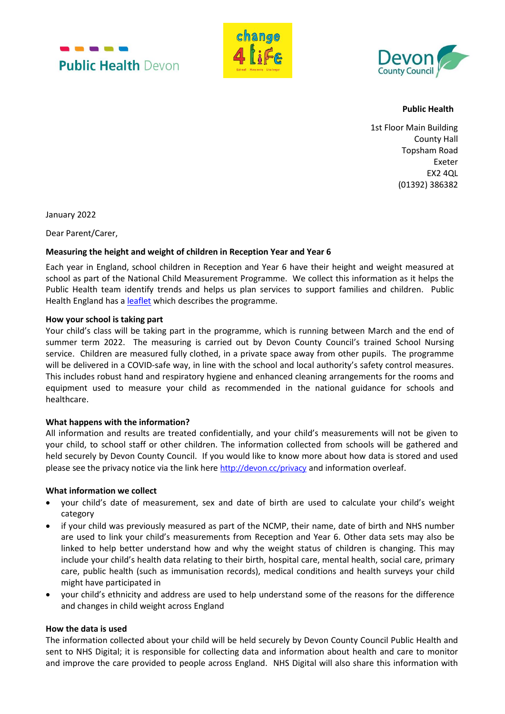





**Public Health** 

1st Floor Main Building County Hall Topsham Road Exeter EX2 4QL (01392) 386382

January 2022

Dear Parent/Carer,

## **Measuring the height and weight of children in Reception Year and Year 6**

Each year in England, school children in Reception and Year 6 have their height and weight measured at school as part of the National Child Measurement Programme. We collect this information as it helps the Public Health team identify trends and helps us plan services to support families and children. Public Health England has a [leaflet](https://assets.publishing.service.gov.uk/government/uploads/system/uploads/attachment_data/file/678761/NCMP_pre-measurement_School_height_and_weight_measurements.pdf) which describes the programme.

## **How your school is taking part**

Your child's class will be taking part in the programme, which is running between March and the end of summer term 2022. The measuring is carried out by Devon County Council's trained School Nursing service. Children are measured fully clothed, in a private space away from other pupils. The programme will be delivered in a COVID-safe way, in line with the school and local authority's safety control measures. This includes robust hand and respiratory hygiene and enhanced cleaning arrangements for the rooms and equipment used to measure your child as recommended in the national guidance for schools and healthcare.

## **What happens with the information?**

All information and results are treated confidentially, and your child's measurements will not be given to your child, to school staff or other children. The information collected from schools will be gathered and held securely by Devon County Council. If you would like to know more about how data is stored and used please see the privacy notice via the link here <http://devon.cc/privacy> and information overleaf.

## **What information we collect**

- your child's date of measurement, sex and date of birth are used to calculate your child's weight category
- if your child was previously measured as part of the NCMP, their name, date of birth and NHS number are used to link your child's measurements from Reception and Year 6. Other data sets may also be linked to help better understand how and why the weight status of children is changing. This may include your child's health data relating to their birth, hospital care, mental health, social care, primary care, public health (such as immunisation records), medical conditions and health surveys your child might have participated in
- your child's ethnicity and address are used to help understand some of the reasons for the difference and changes in child weight across England

## **How the data is used**

The information collected about your child will be held securely by Devon County Council Public Health and sent to NHS Digital; it is responsible for collecting data and information about health and care to monitor and improve the care provided to people across England. NHS Digital will also share this information with